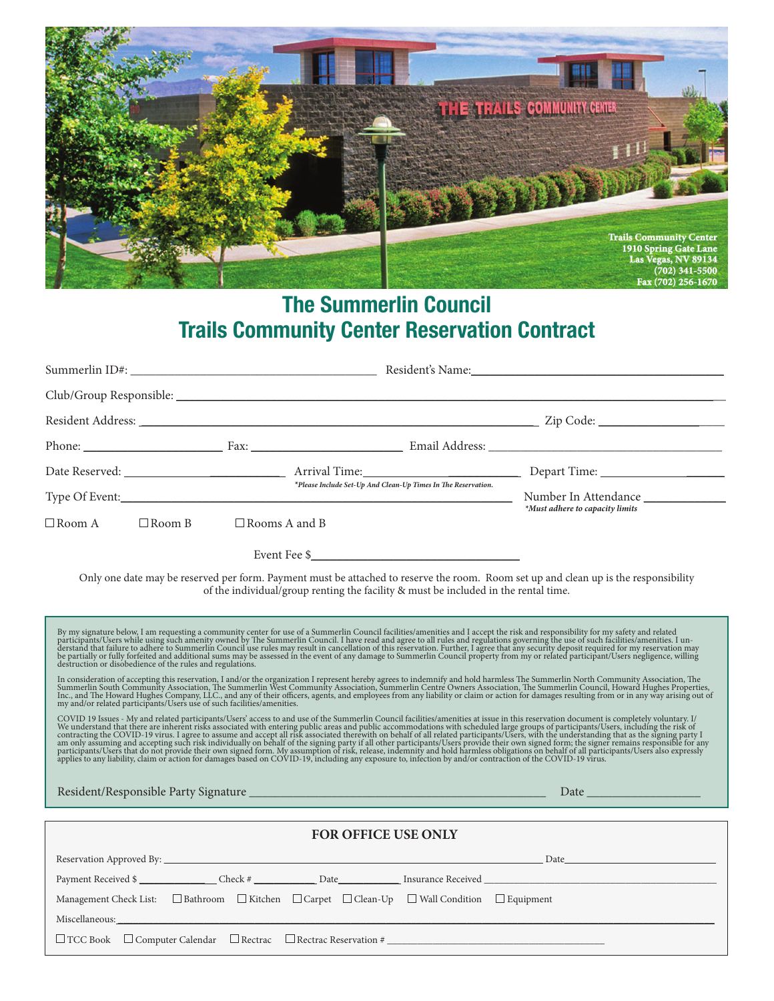

## **The Summerlin Council Trails Community Center Reservation Contract**

|                                                                                                                                                                                                                                                                                                                                                                                                                                                                                                                                                                                                                                                                                                     |                                                                                                                                                                                                                                                                                                                                                                                                                  | *Please Include Set-Up And Clean-Up Times In The Reservation. |                                                                                                                                      |  |  |  |  |
|-----------------------------------------------------------------------------------------------------------------------------------------------------------------------------------------------------------------------------------------------------------------------------------------------------------------------------------------------------------------------------------------------------------------------------------------------------------------------------------------------------------------------------------------------------------------------------------------------------------------------------------------------------------------------------------------------------|------------------------------------------------------------------------------------------------------------------------------------------------------------------------------------------------------------------------------------------------------------------------------------------------------------------------------------------------------------------------------------------------------------------|---------------------------------------------------------------|--------------------------------------------------------------------------------------------------------------------------------------|--|--|--|--|
| $\Box$ Room A                                                                                                                                                                                                                                                                                                                                                                                                                                                                                                                                                                                                                                                                                       | $\Box$ Room B $\Box$ Rooms A and B                                                                                                                                                                                                                                                                                                                                                                               |                                                               | *Must adhere to capacity limits                                                                                                      |  |  |  |  |
|                                                                                                                                                                                                                                                                                                                                                                                                                                                                                                                                                                                                                                                                                                     | $\textbf{Event} \ \textbf{Fee} \ \textcolor{red}{\textbf{\$}\_\textbf{2D} \ \textbf{1D} \ \textbf{2D} \ \textbf{2D} \ \textbf{3D} \ \textbf{3D} \ \textbf{3D} \ \textbf{4D} \ \textbf{5D} \ \textbf{5D} \ \textbf{6D} \ \textbf{6D} \ \textbf{7D} \ \textbf{8D} \ \textbf{1D} \ \textbf{1D} \ \textbf{1D} \ \textbf{1D} \ \textbf{1D} \ \textbf{1D} \ \textbf{1D} \ \textbf{1D} \ \textbf{1D} \ \textbf{1D} \ \$ |                                                               |                                                                                                                                      |  |  |  |  |
|                                                                                                                                                                                                                                                                                                                                                                                                                                                                                                                                                                                                                                                                                                     | of the individual/group renting the facility & must be included in the rental time.                                                                                                                                                                                                                                                                                                                              |                                                               | Only one date may be reserved per form. Payment must be attached to reserve the room. Room set up and clean up is the responsibility |  |  |  |  |
| By my signature below, I am requesting a community center for use of a Summerlin Council facilities/amenities and I accept the risk and responsibility for my safety and related participants/Users while using such amenity o<br>In consideration of accepting this reservation, I and/or the organization I represent hereby agrees to indemnify and hold harmless The Summerlin North Community Association, The Summerlin North Community Association, The<br>COVID 19 Issues - My and related participants/Users' access to and use of the Summerlin Council facilities/amenities at issue in this reservation document is completely voluntary. I/<br>We understand that there are inherent r |                                                                                                                                                                                                                                                                                                                                                                                                                  |                                                               |                                                                                                                                      |  |  |  |  |
| FOR OFFICE USE ONLY                                                                                                                                                                                                                                                                                                                                                                                                                                                                                                                                                                                                                                                                                 |                                                                                                                                                                                                                                                                                                                                                                                                                  |                                                               |                                                                                                                                      |  |  |  |  |
|                                                                                                                                                                                                                                                                                                                                                                                                                                                                                                                                                                                                                                                                                                     | Management Check List: $\square$ Bathroom $\square$ Kitchen $\square$ Carpet $\square$ Clean-Up $\square$ Wall Condition $\square$ Equipment                                                                                                                                                                                                                                                                     |                                                               | Payment Received \$                                                                                                                  |  |  |  |  |